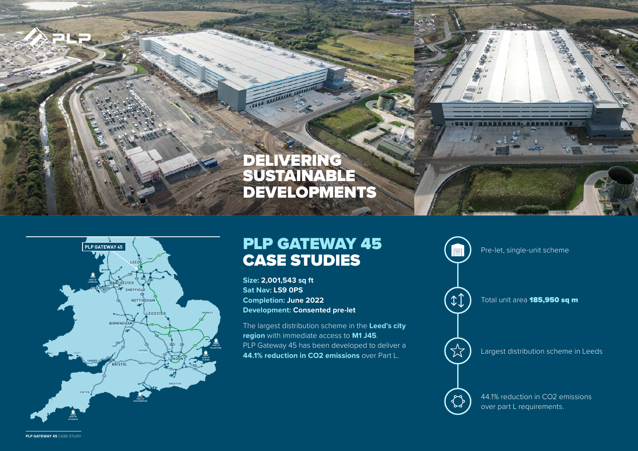## DELIVERING SUSTAINABLE DEVELOPMENTS



## CASE STUDIES

**Size: 2,001,543 sq ft Sat Nav: LS9 0PS Completion: June 2022 Development: Consented pre-let**

The largest distribution scheme in the **Leed's city region** with immediate access to **M1 J45**. PLP Gateway 45 has been developed to deliver a